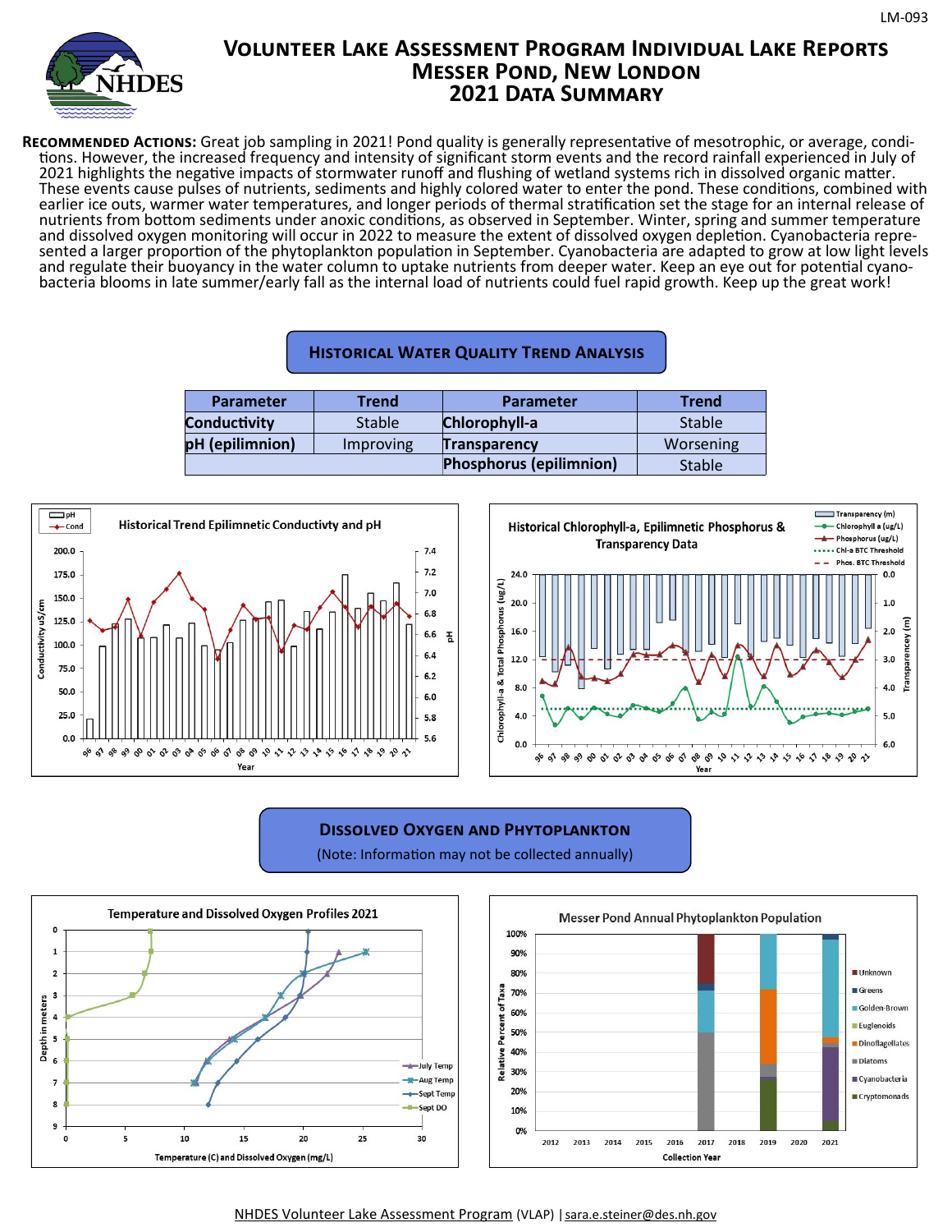

# **Volunteer Lake Assessment Program Individual Lake Reports Messer Pond, New London 2021 Data Summary**

**Recommended Actions:** Great job sampling in 2021! Pond quality is generally representative of mesotrophic, or average, conditions. However, the increased frequency and intensity of significant storm events and the record rainfall experienced in July of 2021 highlights the negative impacts of stormwater runoff and flushing of wetland systems rich in dissolved organic matter. These events cause pulses of nutrients, sediments and highly colored water to enter the pond. These conditions, combined with earlier ice outs, warmer water temperatures, and longer periods of thermal stratification set the stage for an internal release of nutrients from bottom sediments under anoxic conditions, as observed in September. Winter, spring and summer temperature and dissolved oxygen monitoring will occur in 2022 to measure the extent of dissolved oxygen depletion. Cyanobacteria represented a larger proportion of the phytoplankton population in September. Cyanobacteria are adapted to grow at low light levels and regulate their buoyancy in the water column to uptake nutrients from deeper water. Keep an eye out for potential cyanobacteria blooms in late summer/early fall as the internal load of nutrients could fuel rapid growth. Keep up the great work!

| <b>Parameter</b>    | Trend         | <b>Parameter</b>               | <b>Trend</b>  |  |  |
|---------------------|---------------|--------------------------------|---------------|--|--|
| <b>Conductivity</b> | <b>Stable</b> | Chlorophyll-a                  | <b>Stable</b> |  |  |
| pH (epilimnion)     | Improving     | <b>Transparency</b>            | Worsening     |  |  |
|                     |               | <b>Phosphorus (epilimnion)</b> | <b>Stable</b> |  |  |





## **Dissolved Oxygen and Phytoplankton**

(Note: Information may not be collected annually)